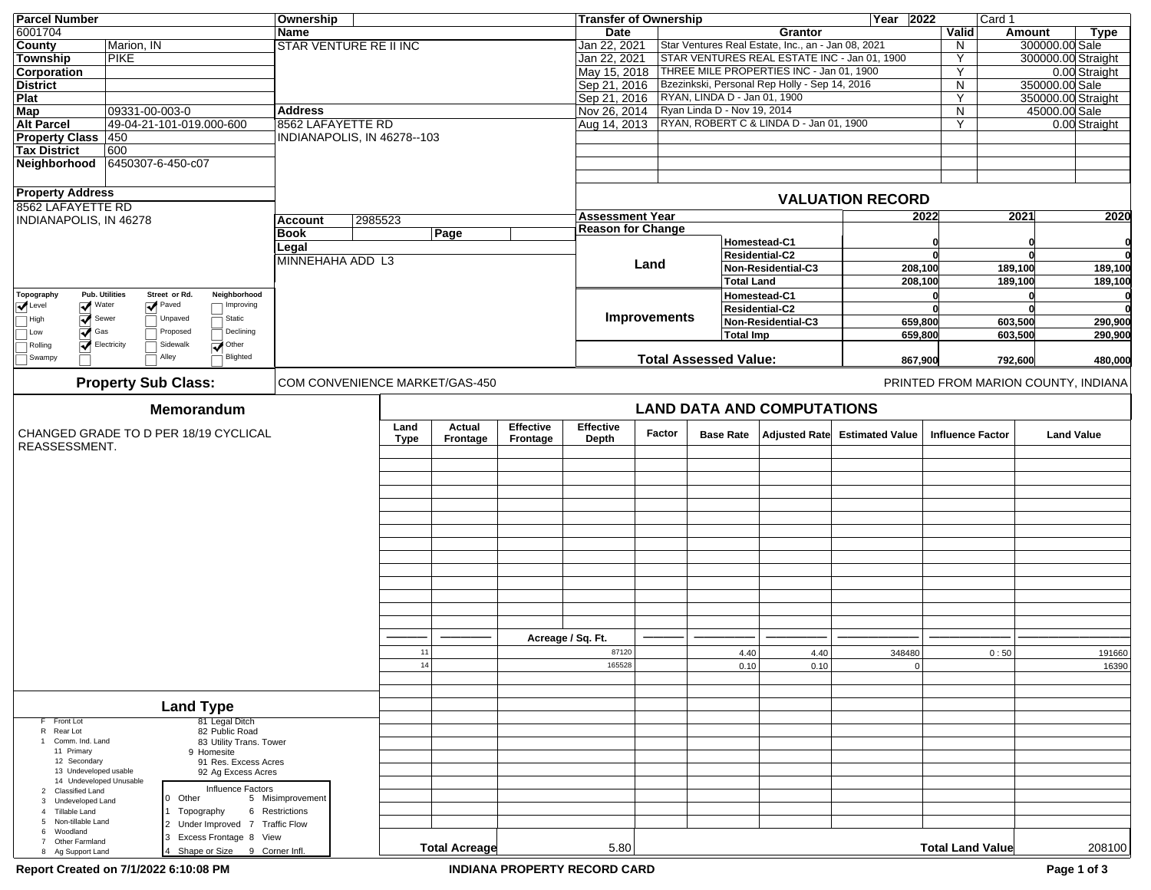| <b>Parcel Number</b><br><b>Transfer of Ownership</b><br>Ownership                                                                                              | Year 2022               | Card 1                              |                    |                    |  |
|----------------------------------------------------------------------------------------------------------------------------------------------------------------|-------------------------|-------------------------------------|--------------------|--------------------|--|
| 6001704<br>Name<br>Date<br>Grantor                                                                                                                             | Valid                   | Amount                              |                    | Type               |  |
| Star Ventures Real Estate, Inc., an - Jan 08, 2021<br>Marion, IN<br>Jan 22, 2021<br><b>County</b><br><b>STAR VENTURE RE II INC</b>                             | N.                      |                                     | 300000.00 Sale     |                    |  |
| STAR VENTURES REAL ESTATE INC - Jan 01, 1900<br><b>PIKE</b><br>Jan 22, 2021<br>Township                                                                        | Y                       |                                     | 300000.00 Straight |                    |  |
| May 15, 2018 THREE MILE PROPERTIES INC - Jan 01, 1900<br><b>Corporation</b>                                                                                    | Y                       |                                     |                    | 0.00 Straight      |  |
| <b>District</b><br>Sep 21, 2016 Bzezinkski, Personal Rep Holly - Sep 14, 2016                                                                                  | N                       |                                     | 350000.00 Sale     |                    |  |
| Sep 21, 2016 RYAN, LINDA D - Jan 01, 1900<br>Plat                                                                                                              | Y                       |                                     |                    | 350000.00 Straight |  |
| Nov 26, 2014 Ryan Linda D - Nov 19, 2014<br><b>Map</b><br>09331-00-003-0<br><b>Address</b>                                                                     | N.                      |                                     | 45000.00 Sale      |                    |  |
| Aug 14, 2013   RYAN, ROBERT C & LINDA D - Jan 01, 1900<br><b>Alt Parcel</b><br>49-04-21-101-019.000-600<br>8562 LAFAYETTE RD                                   | Υ                       |                                     |                    | 0.00 Straight      |  |
|                                                                                                                                                                |                         |                                     |                    |                    |  |
| <b>Property Class 450</b><br>INDIANAPOLIS, IN 46278--103                                                                                                       |                         |                                     |                    |                    |  |
| 600<br><b>Tax District</b>                                                                                                                                     |                         |                                     |                    |                    |  |
| 6450307-6-450-c07<br>Neighborhood                                                                                                                              |                         |                                     |                    |                    |  |
|                                                                                                                                                                |                         |                                     |                    |                    |  |
| <b>Property Address</b>                                                                                                                                        |                         |                                     |                    |                    |  |
| <b>VALUATION RECORD</b><br>8562 LAFAYETTE RD                                                                                                                   |                         |                                     |                    |                    |  |
| <b>Assessment Year</b><br>2985523<br>INDIANAPOLIS, IN 46278<br>Account                                                                                         | 2022                    | 2021                                |                    | 2020               |  |
| <b>Reason for Change</b>                                                                                                                                       |                         |                                     |                    |                    |  |
| <b>Book</b><br>Page<br>Homestead-C1                                                                                                                            |                         |                                     |                    |                    |  |
| Legal<br>Residential-C2                                                                                                                                        |                         |                                     |                    |                    |  |
| MINNEHAHA ADD L3<br>Land<br>Non-Residential-C3                                                                                                                 | 208,100                 |                                     |                    |                    |  |
|                                                                                                                                                                |                         | 189,100                             |                    | 189,100            |  |
| <b>Total Land</b>                                                                                                                                              | 208,100                 | 189,100                             |                    | 189,100            |  |
| <b>Pub. Utilities</b><br>Street or Rd.<br>Homestead-C1<br>Topography<br>Neighborhood                                                                           |                         |                                     |                    |                    |  |
| $\sqrt{\phantom{1}}$ Water<br>$\sqrt{\phantom{a}}$ Paved<br>$\sqrt{\phantom{a}}$ Level<br>Improving<br>Residential-C2                                          |                         |                                     |                    |                    |  |
| <b>Improvements</b><br>Sewer<br>Unpaved<br>Static<br>$\Box$ High<br>Non-Residential-C3                                                                         | 659,800                 | 603,500                             |                    | 290,900            |  |
| $\overline{\blacktriangledown}$ Gas<br>Proposed<br>Declining<br>$\Box$ Low<br><b>Total Imp</b>                                                                 | 659,800                 | 603,500                             |                    | 290,900            |  |
| $\overline{\mathcal{A}}$ Electricity<br>Sidewalk<br>$\overline{\overline{\blacktriangledown}}$ Other<br>$\Box$ Rolling                                         |                         |                                     |                    |                    |  |
| Alley<br>Blighted<br>Swampy<br><b>Total Assessed Value:</b>                                                                                                    | 867,900                 | 792,600                             |                    | 480,000            |  |
|                                                                                                                                                                |                         |                                     |                    |                    |  |
| <b>Property Sub Class:</b><br>COM CONVENIENCE MARKET/GAS-450                                                                                                   |                         | PRINTED FROM MARION COUNTY, INDIANA |                    |                    |  |
|                                                                                                                                                                |                         |                                     |                    |                    |  |
| <b>LAND DATA AND COMPUTATIONS</b><br>Memorandum                                                                                                                |                         |                                     |                    |                    |  |
|                                                                                                                                                                |                         |                                     |                    |                    |  |
| <b>Effective</b><br><b>Effective</b><br>Land<br>Actual<br>CHANGED GRADE TO D PER 18/19 CYCLICAL<br>Factor<br>Adjusted Rate Estimated Value<br><b>Base Rate</b> | <b>Influence Factor</b> |                                     | <b>Land Value</b>  |                    |  |
| <b>Type</b><br>Frontage<br>Frontage<br>Depth<br>REASSESSMENT.                                                                                                  |                         |                                     |                    |                    |  |
|                                                                                                                                                                |                         |                                     |                    |                    |  |
|                                                                                                                                                                |                         |                                     |                    |                    |  |
|                                                                                                                                                                |                         |                                     |                    |                    |  |
|                                                                                                                                                                |                         |                                     |                    |                    |  |
|                                                                                                                                                                |                         |                                     |                    |                    |  |
|                                                                                                                                                                |                         |                                     |                    |                    |  |
|                                                                                                                                                                |                         |                                     |                    |                    |  |
|                                                                                                                                                                |                         |                                     |                    |                    |  |
|                                                                                                                                                                |                         |                                     |                    |                    |  |
|                                                                                                                                                                |                         |                                     |                    |                    |  |
|                                                                                                                                                                |                         |                                     |                    |                    |  |
|                                                                                                                                                                |                         |                                     |                    |                    |  |
|                                                                                                                                                                |                         |                                     |                    |                    |  |
|                                                                                                                                                                |                         |                                     |                    |                    |  |
|                                                                                                                                                                |                         |                                     |                    |                    |  |
| Acreage / Sq. Ft.                                                                                                                                              |                         |                                     |                    |                    |  |
|                                                                                                                                                                |                         |                                     |                    |                    |  |
| 11<br>87120<br>4.40<br>4.40<br>348480                                                                                                                          |                         | 0:50                                |                    | 191660             |  |
| 14<br>0.10<br>165528<br>0.10                                                                                                                                   | 0                       |                                     |                    | 16390              |  |
|                                                                                                                                                                |                         |                                     |                    |                    |  |
|                                                                                                                                                                |                         |                                     |                    |                    |  |
| <b>Land Type</b>                                                                                                                                               |                         |                                     |                    |                    |  |
| F Front Lot<br>81 Legal Ditch                                                                                                                                  |                         |                                     |                    |                    |  |
| R Rear Lot<br>82 Public Road                                                                                                                                   |                         |                                     |                    |                    |  |
| 1 Comm. Ind. Land<br>83 Utility Trans. Tower                                                                                                                   |                         |                                     |                    |                    |  |
| 11 Primary<br>9 Homesite                                                                                                                                       |                         |                                     |                    |                    |  |
| 12 Secondary<br>91 Res. Excess Acres                                                                                                                           |                         |                                     |                    |                    |  |
| 13 Undeveloped usable<br>92 Ag Excess Acres                                                                                                                    |                         |                                     |                    |                    |  |
| 14 Undeveloped Unusable<br>Influence Factors<br>2 Classified Land                                                                                              |                         |                                     |                    |                    |  |
| 0 Other<br>5 Misimprovement<br>Undeveloped Land<br>$\mathbf{3}$                                                                                                |                         |                                     |                    |                    |  |
| 6 Restrictions<br>4 Tillable Land<br>1 Topography                                                                                                              |                         |                                     |                    |                    |  |
| 5 Non-tillable Land<br>2 Under Improved 7 Traffic Flow                                                                                                         |                         |                                     |                    |                    |  |
| Woodland<br>6<br>3 Excess Frontage 8 View                                                                                                                      |                         |                                     |                    |                    |  |
| Other Farmland<br>7<br><b>Total Acreage</b><br>5.80<br>4 Shape or Size 9 Corner Infl.<br>8 Ag Support Land                                                     | <b>Total Land Value</b> |                                     |                    | 208100             |  |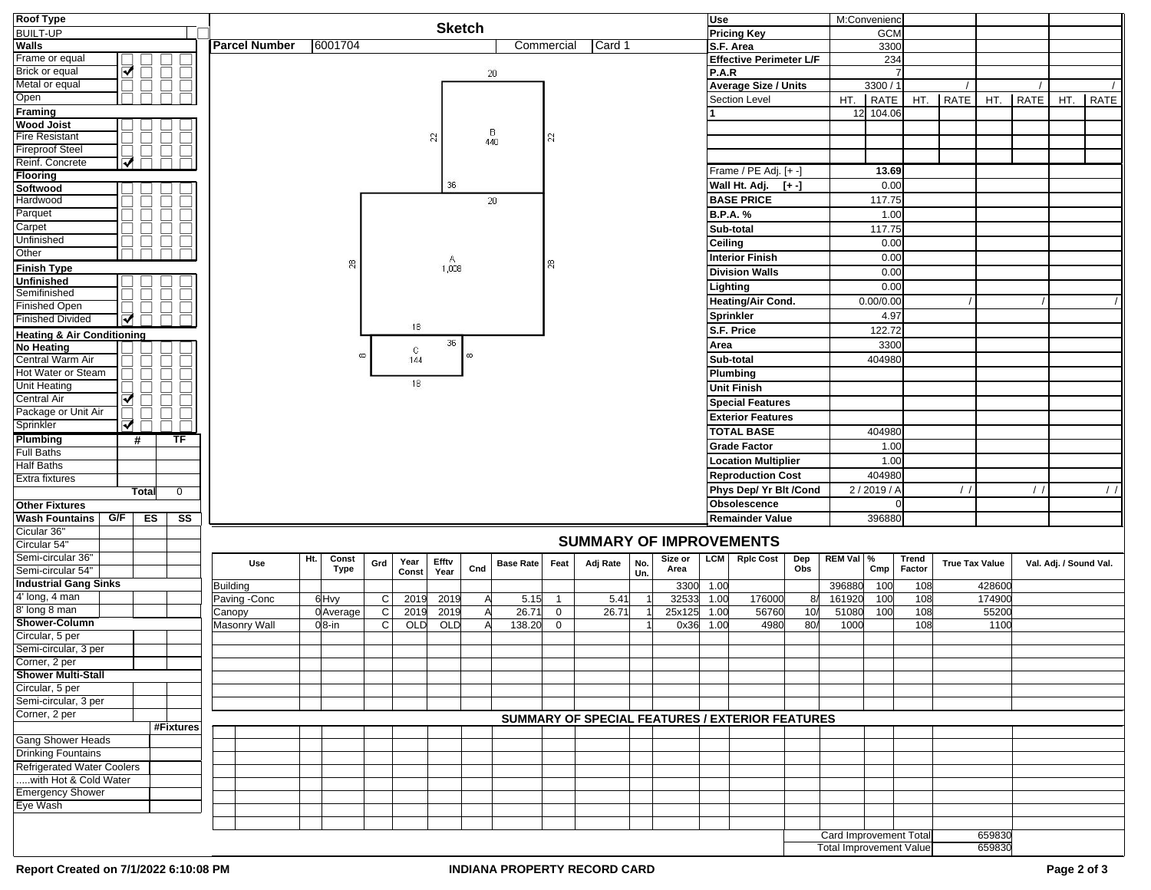| <b>Roof Type</b>                      |    | <b>Sketch</b> |              |                        |                      |     |     |             |              |              |                 |     |                 | M:Convenienc<br>Use |                                |     |                        |                |                                                 |         |                         |             |              |                       |        |               |                        |      |
|---------------------------------------|----|---------------|--------------|------------------------|----------------------|-----|-----|-------------|--------------|--------------|-----------------|-----|-----------------|---------------------|--------------------------------|-----|------------------------|----------------|-------------------------------------------------|---------|-------------------------|-------------|--------------|-----------------------|--------|---------------|------------------------|------|
| <b>BUILT-UP</b>                       |    |               |              |                        |                      |     |     |             |              |              |                 |     |                 |                     |                                |     |                        |                | <b>Pricing Key</b>                              |         |                         | GCM         |              |                       |        |               |                        |      |
| Walls                                 |    |               |              |                        | <b>Parcel Number</b> |     |     | 6001704     |              |              |                 |     |                 | Commercial          | Card 1                         |     |                        |                | S.F. Area                                       |         |                         | 3300        |              |                       |        |               |                        |      |
| Frame or equal                        |    |               |              |                        |                      |     |     |             |              |              |                 |     |                 |                     |                                |     |                        |                | Effective Perimeter L/F                         |         |                         | 234         |              |                       |        |               |                        |      |
| Brick or equal                        | ᢦ  |               | $\Box$       | $\Box$                 |                      |     |     |             |              |              |                 |     | $20\,$          |                     |                                |     |                        | P.A.R          |                                                 |         |                         |             |              |                       |        |               |                        |      |
| Metal or equal                        |    | ⊔             | $\Box$       | Ō                      |                      |     |     |             |              |              |                 |     |                 |                     |                                |     |                        |                | <b>Average Size / Units</b>                     |         |                         | 3300 / 1    |              |                       |        |               |                        |      |
| Open                                  |    |               |              |                        |                      |     |     |             |              |              |                 |     |                 |                     |                                |     |                        |                | Section Level                                   |         | HT.                     | <b>RATE</b> | HT.          | RATE                  |        | HT. RATE      | HT.                    | RATE |
| Framing                               |    |               |              |                        |                      |     |     |             |              |              |                 |     |                 |                     |                                |     |                        |                |                                                 |         | 12                      | 104.06      |              |                       |        |               |                        |      |
| <b>Wood Joist</b>                     |    |               |              |                        |                      |     |     |             |              |              |                 |     |                 |                     |                                |     |                        |                |                                                 |         |                         |             |              |                       |        |               |                        |      |
| <b>Fire Resistant</b>                 |    |               |              |                        |                      |     |     |             |              |              | R               |     | $\frac{B}{440}$ | R                   |                                |     |                        |                |                                                 |         |                         |             |              |                       |        |               |                        |      |
| <b>Fireproof Steel</b>                |    |               |              |                        |                      |     |     |             |              |              |                 |     |                 |                     |                                |     |                        |                |                                                 |         |                         |             |              |                       |        |               |                        |      |
| Reinf. Concrete                       | ⊽  |               |              |                        |                      |     |     |             |              |              |                 |     |                 |                     |                                |     |                        |                | Frame / PE Adj. [+ -]                           |         |                         | 13.69       |              |                       |        |               |                        |      |
| Flooring                              |    |               |              |                        |                      |     |     |             |              |              | 36              |     |                 |                     |                                |     |                        |                | Wall Ht. Adj.                                   |         |                         | 0.00        |              |                       |        |               |                        |      |
| Softwood                              |    |               |              |                        |                      |     |     |             |              |              |                 |     |                 |                     |                                |     |                        |                |                                                 | $[+ -]$ |                         |             |              |                       |        |               |                        |      |
| Hardwood                              |    |               |              |                        |                      |     |     |             |              |              |                 |     | 20              |                     |                                |     |                        |                | <b>BASE PRICE</b>                               |         |                         | 117.75      |              |                       |        |               |                        |      |
| Parquet                               |    |               |              |                        |                      |     |     |             |              |              |                 |     |                 |                     |                                |     |                        |                | <b>B.P.A.%</b>                                  |         |                         | 1.00        |              |                       |        |               |                        |      |
| Carpet                                |    |               |              |                        |                      |     |     |             |              |              |                 |     |                 |                     |                                |     |                        |                | Sub-total                                       |         |                         | 117.75      |              |                       |        |               |                        |      |
| Unfinished                            |    |               | $\Box$       | $\Box$                 |                      |     |     |             |              |              |                 |     |                 |                     |                                |     |                        | <b>Ceiling</b> |                                                 |         |                         | 0.00        |              |                       |        |               |                        |      |
| Other                                 |    |               |              |                        |                      |     |     |             |              |              |                 |     |                 |                     |                                |     |                        |                | <b>Interior Finish</b>                          |         |                         | 0.00        |              |                       |        |               |                        |      |
| <b>Finish Type</b>                    |    |               |              |                        |                      |     |     | 8           |              |              | $A_{1,008}^{A}$ |     |                 | R.                  |                                |     |                        |                | <b>Division Walls</b>                           |         |                         | 0.00        |              |                       |        |               |                        |      |
| Unfinished                            |    |               |              |                        |                      |     |     |             |              |              |                 |     |                 |                     |                                |     |                        |                | Lighting                                        |         |                         | 0.00        |              |                       |        |               |                        |      |
| Semifinished                          |    |               |              |                        |                      |     |     |             |              |              |                 |     |                 |                     |                                |     |                        |                | Heating/Air Cond.                               |         |                         | 0.00/0.00   |              |                       |        |               |                        |      |
| <b>Finished Open</b>                  |    |               |              |                        |                      |     |     |             |              |              |                 |     |                 |                     |                                |     |                        |                |                                                 |         |                         |             |              |                       |        |               |                        |      |
| <b>Finished Divided</b>               | ᢦ  |               |              |                        |                      |     |     |             |              | 18           |                 |     |                 |                     |                                |     |                        |                | Sprinkler                                       |         |                         | 4.97        |              |                       |        |               |                        |      |
| <b>Heating &amp; Air Conditioning</b> |    |               |              |                        |                      |     |     |             |              |              |                 |     |                 |                     |                                |     |                        |                | S.F. Price                                      |         |                         | 122.72      |              |                       |        |               |                        |      |
| <b>No Heating</b>                     |    |               |              |                        |                      |     |     |             |              | $\mathbb{C}$ | 36              | 6   |                 |                     |                                |     |                        | Area           |                                                 |         |                         | 3300        |              |                       |        |               |                        |      |
| Central Warm Air                      |    |               |              |                        |                      |     |     |             |              | 144          |                 |     |                 |                     |                                |     |                        |                | Sub-total                                       |         |                         | 404980      |              |                       |        |               |                        |      |
| Hot Water or Steam                    |    |               | $\mathbf{L}$ |                        |                      |     |     |             |              |              |                 |     |                 |                     |                                |     |                        |                | Plumbing                                        |         |                         |             |              |                       |        |               |                        |      |
| <b>Unit Heating</b>                   |    |               |              | ▊                      |                      |     |     |             |              | 18           |                 |     |                 |                     |                                |     |                        |                | <b>Unit Finish</b>                              |         |                         |             |              |                       |        |               |                        |      |
| <b>Central Air</b>                    | ✔  |               | $\Box$       | $\Box$                 |                      |     |     |             |              |              |                 |     |                 |                     |                                |     |                        |                | <b>Special Features</b>                         |         |                         |             |              |                       |        |               |                        |      |
| Package or Unit Air                   |    |               | $\sqcup$     | $\Box$                 |                      |     |     |             |              |              |                 |     |                 |                     |                                |     |                        |                | <b>Exterior Features</b>                        |         |                         |             |              |                       |        |               |                        |      |
| Sprinkler                             | ⊽  |               |              | □                      |                      |     |     |             |              |              |                 |     |                 |                     |                                |     |                        |                | <b>TOTAL BASE</b>                               |         |                         | 404980      |              |                       |        |               |                        |      |
| Plumbing                              |    | #             | TF           |                        |                      |     |     |             |              |              |                 |     |                 |                     |                                |     |                        |                | <b>Grade Factor</b>                             |         |                         | 1.00        |              |                       |        |               |                        |      |
| <b>Full Baths</b>                     |    |               |              |                        |                      |     |     |             |              |              |                 |     |                 |                     |                                |     |                        |                |                                                 |         |                         | 1.00        |              |                       |        |               |                        |      |
| Half Baths                            |    |               |              |                        |                      |     |     |             |              |              |                 |     |                 |                     |                                |     |                        |                | <b>Location Multiplier</b>                      |         |                         |             |              |                       |        |               |                        |      |
| Extra fixtures                        |    |               |              |                        |                      |     |     |             |              |              |                 |     |                 |                     |                                |     |                        |                | <b>Reproduction Cost</b>                        |         |                         | 404980      |              |                       |        |               |                        |      |
| $\overline{0}$<br>Total               |    |               |              |                        |                      |     |     |             |              |              |                 |     |                 |                     |                                |     | Phys Dep/ Yr Blt /Cond |                |                                                 | 2/2019/ |                         |             |              | $\prime$              |        | $\frac{1}{2}$ |                        |      |
| <b>Other Fixtures</b>                 |    |               |              |                        |                      |     |     |             |              |              |                 |     |                 |                     |                                |     | Obsolescence           |                |                                                 |         |                         |             |              |                       |        |               |                        |      |
| <b>Wash Fountains</b>                 | GF | ES            |              | $\overline{\text{ss}}$ |                      |     |     |             |              |              |                 |     |                 |                     |                                |     |                        |                | <b>Remainder Value</b>                          |         |                         | 396880      |              |                       |        |               |                        |      |
| Cicular 36"                           |    |               |              |                        |                      |     |     |             |              |              |                 |     |                 |                     | <b>SUMMARY OF IMPROVEMENTS</b> |     |                        |                |                                                 |         |                         |             |              |                       |        |               |                        |      |
| Circular 54"                          |    |               |              |                        |                      |     |     |             |              |              |                 |     |                 |                     |                                |     |                        |                |                                                 |         |                         |             |              |                       |        |               |                        |      |
| Semi-circular 36"                     |    |               |              |                        |                      | Use | Ht. | Const       | Grd          | Year         | Effty           |     | Base Rate       | Feat                | Adj Rate                       | No. | Size or                | <b>LCM</b>     | <b>Rplc Cost</b>                                | Dep     | REM Val %               |             | <b>Trend</b> | <b>True Tax Value</b> |        |               | Val. Adj. / Sound Val. |      |
| Semi-circular 54"                     |    |               |              |                        |                      |     |     | <b>Type</b> |              | Const        | Year            | Cnd |                 |                     |                                | Un. | Area                   |                |                                                 | Obs     |                         | Cmp         | Factor       |                       |        |               |                        |      |
| <b>Industrial Gang Sinks</b>          |    |               |              |                        | <b>Building</b>      |     |     |             |              |              |                 |     |                 |                     |                                |     | 3300                   | 1.00           |                                                 |         | 396880                  | 100         | 108          |                       | 428600 |               |                        |      |
| 4' long, 4 man                        |    |               |              |                        | Paving -Conc         |     |     | 6Hvy        | C            | 2019         | 2019            |     | 5.15            | $\overline{1}$      | 5.41                           |     | 32533                  | 1.00           | 176000                                          | 8/      | 161920                  | 100         | 108          |                       | 174900 |               |                        |      |
| 8' long 8 man                         |    |               |              |                        | Canopy               |     |     | 0Average    | C            | 2019         | 2019            |     | 26.71           | $\mathbf 0$         | 26.71                          |     | 25x125                 | 1.00           | 56760                                           | 10/     | 51080                   | 100         | 108          |                       | 55200  |               |                        |      |
| Shower-Column                         |    |               |              |                        | Masonry Wall         |     |     | $0 8$ -in   | $\mathsf{C}$ | OLD          | OLD             |     | 138.20          | 0                   |                                |     | 0x36                   | 1.00           | 4980                                            | 80/     | 1000                    |             | 108          |                       | 1100   |               |                        |      |
| Circular, 5 per                       |    |               |              |                        |                      |     |     |             |              |              |                 |     |                 |                     |                                |     |                        |                |                                                 |         |                         |             |              |                       |        |               |                        |      |
| Semi-circular, 3 per                  |    |               |              |                        |                      |     |     |             |              |              |                 |     |                 |                     |                                |     |                        |                |                                                 |         |                         |             |              |                       |        |               |                        |      |
| Corner, 2 per                         |    |               |              |                        |                      |     |     |             |              |              |                 |     |                 |                     |                                |     |                        |                |                                                 |         |                         |             |              |                       |        |               |                        |      |
| <b>Shower Multi-Stall</b>             |    |               |              |                        |                      |     |     |             |              |              |                 |     |                 |                     |                                |     |                        |                |                                                 |         |                         |             |              |                       |        |               |                        |      |
| Circular, 5 per                       |    |               |              |                        |                      |     |     |             |              |              |                 |     |                 |                     |                                |     |                        |                |                                                 |         |                         |             |              |                       |        |               |                        |      |
| Semi-circular, 3 per                  |    |               |              |                        |                      |     |     |             |              |              |                 |     |                 |                     |                                |     |                        |                |                                                 |         |                         |             |              |                       |        |               |                        |      |
| Corner, 2 per                         |    |               |              |                        |                      |     |     |             |              |              |                 |     |                 |                     |                                |     |                        |                | SUMMARY OF SPECIAL FEATURES / EXTERIOR FEATURES |         |                         |             |              |                       |        |               |                        |      |
|                                       |    |               | #Fixtures    |                        |                      |     |     |             |              |              |                 |     |                 |                     |                                |     |                        |                |                                                 |         |                         |             |              |                       |        |               |                        |      |
| <b>Gang Shower Heads</b>              |    |               |              |                        |                      |     |     |             |              |              |                 |     |                 |                     |                                |     |                        |                |                                                 |         |                         |             |              |                       |        |               |                        |      |
| <b>Drinking Fountains</b>             |    |               |              |                        |                      |     |     |             |              |              |                 |     |                 |                     |                                |     |                        |                |                                                 |         |                         |             |              |                       |        |               |                        |      |
| <b>Refrigerated Water Coolers</b>     |    |               |              |                        |                      |     |     |             |              |              |                 |     |                 |                     |                                |     |                        |                |                                                 |         |                         |             |              |                       |        |               |                        |      |
| with Hot & Cold Water                 |    |               |              |                        |                      |     |     |             |              |              |                 |     |                 |                     |                                |     |                        |                |                                                 |         |                         |             |              |                       |        |               |                        |      |
| <b>Emergency Shower</b><br>Eye Wash   |    |               |              |                        |                      |     |     |             |              |              |                 |     |                 |                     |                                |     |                        |                |                                                 |         |                         |             |              |                       |        |               |                        |      |
|                                       |    |               |              |                        |                      |     |     |             |              |              |                 |     |                 |                     |                                |     |                        |                |                                                 |         |                         |             |              |                       |        |               |                        |      |
|                                       |    |               |              |                        |                      |     |     |             |              |              |                 |     |                 |                     |                                |     |                        |                |                                                 |         |                         |             |              |                       |        |               |                        |      |
|                                       |    |               |              |                        |                      |     |     |             |              |              |                 |     |                 |                     |                                |     |                        |                |                                                 |         | Card Improvement Total  |             |              |                       | 659830 |               |                        |      |
|                                       |    |               |              |                        |                      |     |     |             |              |              |                 |     |                 |                     |                                |     |                        |                |                                                 |         | Total Improvement Value |             |              |                       | 659830 |               |                        |      |